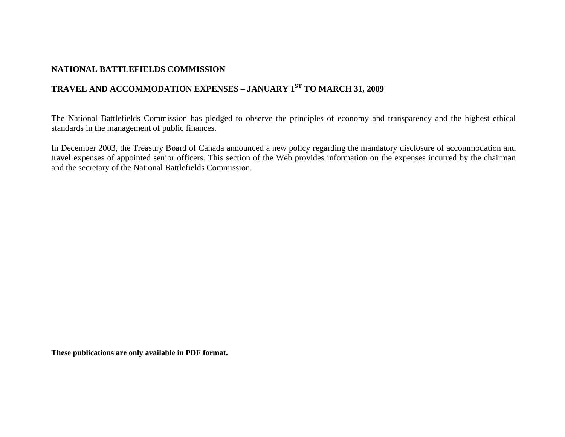### **NATIONAL BATTLEFIELDS COMMISSION**

# **TRAVEL AND ACCOMMODATION EXPENSES – JANUARY 1ST TO MARCH 31, 2009**

The National Battlefields Commission has pledged to observe the principles of economy and transparency and the highest ethical standards in the management of public finances.

In December 2003, the Treasury Board of Canada announced a new policy regarding the mandatory disclosure of accommodation and travel expenses of appointed senior officers. This section of the Web provides information on the expenses incurred by the chairman and the secretary of the National Battlefields Commission.

**These publications are only available in PDF format.**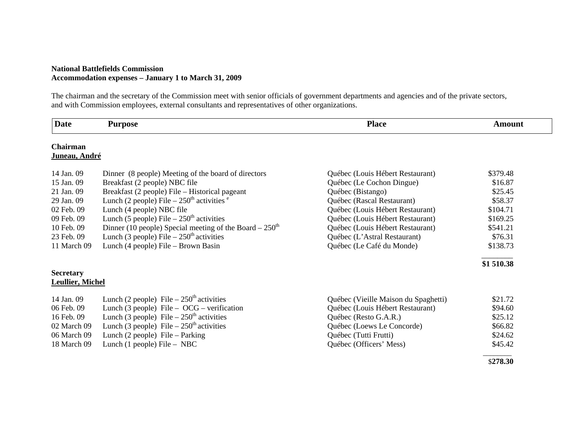#### **National Battlefields Commission Accommodation expenses – January 1 to March 31, 2009**

The chairman and the secretary of the Commission meet with senior officials of government departments and agencies and of the private sectors, and with Commission employees, external consultants and representatives of other organizations.

| <b>Date</b>             | <b>Purpose</b>                                           | <b>Place</b>                         | <b>Amount</b> |
|-------------------------|----------------------------------------------------------|--------------------------------------|---------------|
| <b>Chairman</b>         |                                                          |                                      |               |
| Juneau, André           |                                                          |                                      |               |
| 14 Jan. 09              | Dinner (8 people) Meeting of the board of directors      | Québec (Louis Hébert Restaurant)     | \$379.48      |
| 15 Jan. 09              | Breakfast (2 people) NBC file                            | Québec (Le Cochon Dingue)            | \$16.87       |
| 21 Jan. 09              | Breakfast (2 people) File – Historical pageant           | Québec (Bistango)                    | \$25.45       |
| 29 Jan. 09              | Lunch (2 people) File $-250th$ activities $e$            | Québec (Rascal Restaurant)           | \$58.37       |
| 02 Feb. 09              | Lunch (4 people) NBC file                                | Québec (Louis Hébert Restaurant)     | \$104.71      |
| 09 Feb. 09              | Lunch (5 people) File $-250th$ activities                | Québec (Louis Hébert Restaurant)     | \$169.25      |
| 10 Feb. 09              | Dinner (10 people) Special meeting of the Board $-250th$ | Québec (Louis Hébert Restaurant)     | \$541.21      |
| 23 Feb. 09              | Lunch (3 people) File $-250th$ activities                | Québec (L'Astral Restaurant)         | \$76.31       |
| 11 March 09             | Lunch (4 people) File – Brown Basin                      | Québec (Le Café du Monde)            | \$138.73      |
|                         |                                                          |                                      | \$1 510.38    |
| <b>Secretary</b>        |                                                          |                                      |               |
| <b>Leullier, Michel</b> |                                                          |                                      |               |
| 14 Jan. 09              | Lunch (2 people) File $-250^{\text{th}}$ activities      | Québec (Vieille Maison du Spaghetti) | \$21.72       |
| 06 Feb. 09              | Lunch (3 people) File – $OCG$ – verification             | Québec (Louis Hébert Restaurant)     | \$94.60       |
| 16 Feb. 09              | Lunch (3 people) File $-250th$ activities                | Québec (Resto G.A.R.)                | \$25.12       |
| 02 March 09             | Lunch (3 people) File $-250th$ activities                | Québec (Loews Le Concorde)           | \$66.82       |
| 06 March 09             | Lunch $(2$ people) File – Parking                        | Québec (Tutti Frutti)                | \$24.62       |
| 18 March 09             | Lunch (1 people) File $-$ NBC                            | Québec (Officers' Mess)              | \$45.42       |
|                         |                                                          |                                      | \$278.30      |
|                         |                                                          |                                      |               |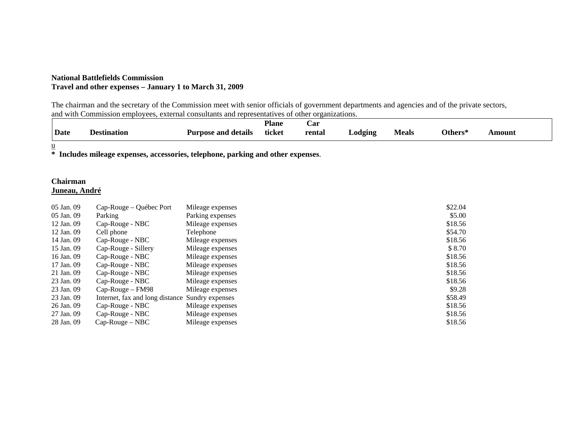#### **National Battlefields Commission Travel and other expenses – January 1 to March 31, 2009**

The chairman and the secretary of the Commission meet with senior officials of government departments and agencies and of the private sectors, and with Commission employees, external consultants and representatives of other organizations.

| <b>Date</b> | Destination | <b>Purpose and details</b> | <b>Plane</b><br>ticket | Car<br>rental | Lodging | <b>Meals</b> | Others* | Amount |  |
|-------------|-------------|----------------------------|------------------------|---------------|---------|--------------|---------|--------|--|
| u           |             |                            |                        |               |         |              |         |        |  |

**\* Includes mileage expenses, accessories, telephone, parking and other expenses**.

## **Chairman**

### **Juneau, André**

| 05 Jan. 09 | Cap-Rouge – Québec Port                         | Mileage expenses | \$22.04 |
|------------|-------------------------------------------------|------------------|---------|
| 05 Jan. 09 | Parking                                         | Parking expenses | \$5.00  |
| 12 Jan. 09 | Cap-Rouge - NBC                                 | Mileage expenses | \$18.56 |
| 12 Jan. 09 | Cell phone                                      | Telephone        | \$54.70 |
| 14 Jan. 09 | Cap-Rouge - NBC                                 | Mileage expenses | \$18.56 |
| 15 Jan. 09 | Cap-Rouge - Sillery                             | Mileage expenses | \$8.70  |
| 16 Jan. 09 | Cap-Rouge - NBC                                 | Mileage expenses | \$18.56 |
| 17 Jan. 09 | Cap-Rouge - NBC                                 | Mileage expenses | \$18.56 |
| 21 Jan. 09 | Cap-Rouge - NBC                                 | Mileage expenses | \$18.56 |
| 23 Jan. 09 | Cap-Rouge - NBC                                 | Mileage expenses | \$18.56 |
| 23 Jan. 09 | $Cap-Rouge-FM98$                                | Mileage expenses | \$9.28  |
| 23 Jan. 09 | Internet, fax and long distance Sundry expenses |                  | \$58.49 |
| 26 Jan. 09 | Cap-Rouge - NBC                                 | Mileage expenses | \$18.56 |
| 27 Jan. 09 | Cap-Rouge - NBC                                 | Mileage expenses | \$18.56 |
| 28 Jan. 09 | $Cap-Rouge-NBC$                                 | Mileage expenses | \$18.56 |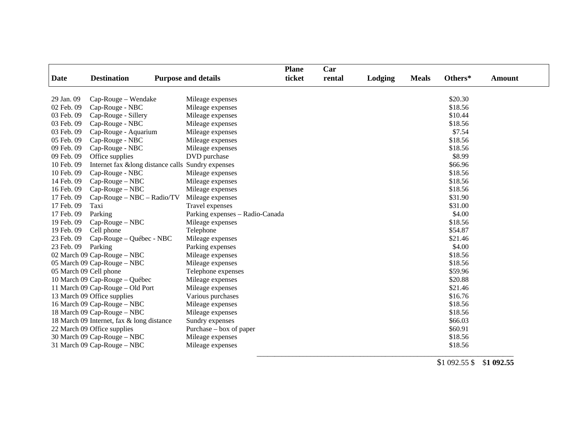| Car<br><b>Plane</b>                       |                                  |                                                   |        |        |         |              |         |               |
|-------------------------------------------|----------------------------------|---------------------------------------------------|--------|--------|---------|--------------|---------|---------------|
| <b>Date</b>                               | <b>Destination</b>               | <b>Purpose and details</b>                        | ticket | rental | Lodging | <b>Meals</b> | Others* | <b>Amount</b> |
| 29 Jan. 09                                | Cap-Rouge - Wendake              | Mileage expenses                                  |        |        |         |              | \$20.30 |               |
| 02 Feb. 09                                | Cap-Rouge - NBC                  | Mileage expenses                                  |        |        |         |              | \$18.56 |               |
| 03 Feb. 09                                | Cap-Rouge - Sillery              | Mileage expenses                                  |        |        |         |              | \$10.44 |               |
| 03 Feb. 09                                | Cap-Rouge - NBC                  | Mileage expenses                                  |        |        |         |              | \$18.56 |               |
| 03 Feb. 09                                | Cap-Rouge - Aquarium             | Mileage expenses                                  |        |        |         |              | \$7.54  |               |
| 05 Feb. 09                                | Cap-Rouge - NBC                  | Mileage expenses                                  |        |        |         |              | \$18.56 |               |
| 09 Feb. 09                                | Cap-Rouge - NBC                  | Mileage expenses                                  |        |        |         |              | \$18.56 |               |
| 09 Feb. 09                                | Office supplies                  | DVD purchase                                      |        |        |         |              | \$8.99  |               |
| 10 Feb. 09                                |                                  | Internet fax &long distance calls Sundry expenses |        |        |         |              | \$66.96 |               |
| 10 Feb. 09                                | Cap-Rouge - NBC                  | Mileage expenses                                  |        |        |         |              | \$18.56 |               |
| 14 Feb. 09                                | Cap-Rouge - NBC                  | Mileage expenses                                  |        |        |         |              | \$18.56 |               |
| 16 Feb. 09                                | $Cap-Rouge-NBC$                  | Mileage expenses                                  |        |        |         |              | \$18.56 |               |
| 17 Feb. 09                                | $Cap-Rouge-NBC-Radio/TV$         | Mileage expenses                                  |        |        |         |              | \$31.90 |               |
| 17 Feb. 09                                | Taxi                             | Travel expenses                                   |        |        |         |              | \$31.00 |               |
| 17 Feb. 09                                | Parking                          | Parking expenses - Radio-Canada                   |        |        |         |              | \$4.00  |               |
| 19 Feb. 09                                | $Cap-Rouge-NBC$                  | Mileage expenses                                  |        |        |         |              | \$18.56 |               |
| 19 Feb. 09                                | Cell phone                       | Telephone                                         |        |        |         |              | \$54.87 |               |
| 23 Feb. 09                                | Cap-Rouge – Québec - NBC         | Mileage expenses                                  |        |        |         |              | \$21.46 |               |
| 23 Feb. 09                                | Parking                          | Parking expenses                                  |        |        |         |              | \$4.00  |               |
|                                           | 02 March 09 Cap-Rouge - NBC      | Mileage expenses                                  |        |        |         |              | \$18.56 |               |
|                                           | 05 March 09 Cap-Rouge - NBC      | Mileage expenses                                  |        |        |         |              | \$18.56 |               |
| 05 March 09 Cell phone                    |                                  | Telephone expenses                                |        |        |         |              | \$59.96 |               |
|                                           | 10 March 09 Cap-Rouge - Québec   | Mileage expenses                                  |        |        |         |              | \$20.88 |               |
|                                           | 11 March 09 Cap-Rouge – Old Port | Mileage expenses                                  |        |        |         |              | \$21.46 |               |
|                                           | 13 March 09 Office supplies      | Various purchases                                 |        |        |         |              | \$16.76 |               |
|                                           | 16 March 09 Cap-Rouge - NBC      | Mileage expenses                                  |        |        |         |              | \$18.56 |               |
|                                           | 18 March 09 Cap-Rouge - NBC      | Mileage expenses                                  |        |        |         |              | \$18.56 |               |
| 18 March 09 Internet, fax & long distance |                                  | Sundry expenses                                   |        |        |         |              | \$66.03 |               |
| 22 March 09 Office supplies               |                                  | Purchase – box of paper                           |        |        |         |              | \$60.91 |               |
|                                           | 30 March 09 Cap-Rouge – NBC      | Mileage expenses                                  |        |        |         |              | \$18.56 |               |
|                                           | 31 March 09 Cap-Rouge - NBC      | Mileage expenses                                  |        |        |         |              | \$18.56 |               |

\_\_\_\_\_\_\_\_\_\_\_\_\_\_\_\_\_\_\_\_\_\_\_\_\_\_\_\_\_\_\_\_\_\_\_\_\_\_\_\_\_\_\_\_\_\_\_\_\_\_\_\_\_\_\_\_\_\_\_\_\_\_\_\_\_\_\_\_\_\_\_\_

\$1 092.55 \$ \$**1 092.55**